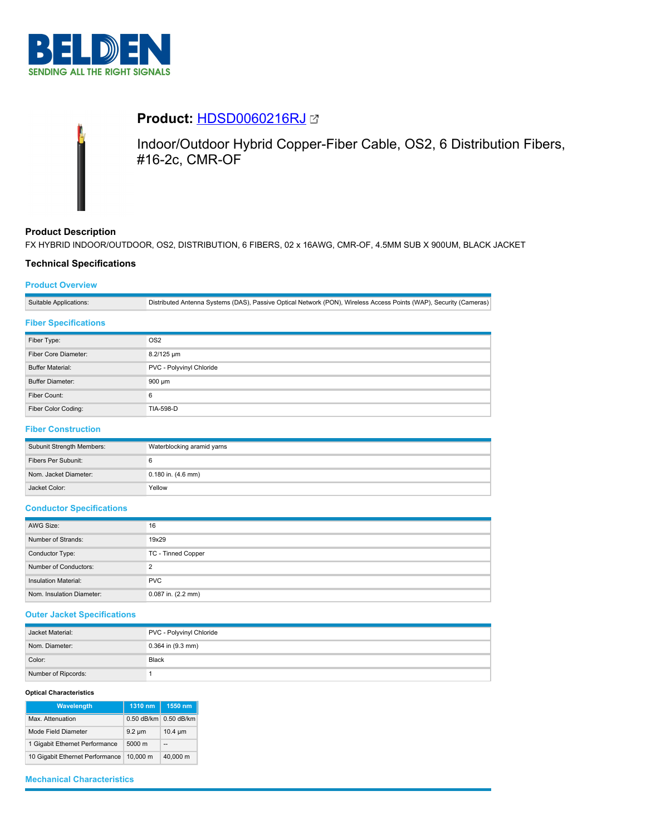



# **Product:** [HDSD0060216RJ](https://catalog.belden.com/index.cfm?event=pd&p=PF_HDSD0060216RJ&tab=downloads)

Indoor/Outdoor Hybrid Copper-Fiber Cable, OS2, 6 Distribution Fibers, #16-2c, CMR-OF

# **Product Description**

FX HYBRID INDOOR/OUTDOOR, OS2, DISTRIBUTION, 6 FIBERS, 02 x 16AWG, CMR-OF, 4.5MM SUB X 900UM, BLACK JACKET

## **Technical Specifications**

## **Product Overview**

Suitable Applications: Distributed Antenna Systems (DAS), Passive Optical Network (PON), Wireless Access Points (WAP), Security (Cameras)

### **Fiber Specifications**

| Fiber Type:             | OS <sub>2</sub>          |  |
|-------------------------|--------------------------|--|
| Fiber Core Diameter:    | 8.2/125 um               |  |
| <b>Buffer Material:</b> | PVC - Polyvinyl Chloride |  |
| <b>Buffer Diameter:</b> | 900 µm                   |  |
| Fiber Count:            | 6                        |  |
| Fiber Color Coding:     | <b>TIA-598-D</b>         |  |

# **Fiber Construction**

| Subunit Strength Members: | Waterblocking aramid yarns |  |
|---------------------------|----------------------------|--|
| Fibers Per Subunit:       |                            |  |
| Nom. Jacket Diameter:     | $0.180$ in. $(4.6$ mm)     |  |
| Jacket Color:             | Yellow                     |  |

### **Conductor Specifications**

| AWG Size:                 | 16                     |  |
|---------------------------|------------------------|--|
| Number of Strands:        | 19x29                  |  |
| Conductor Type:           | TC - Tinned Copper     |  |
| Number of Conductors:     | ◠                      |  |
| Insulation Material:      | <b>PVC</b>             |  |
| Nom. Insulation Diameter: | $0.087$ in. $(2.2$ mm) |  |

### **Outer Jacket Specifications**

| Jacket Material:    | PVC - Polyvinyl Chloride |  |
|---------------------|--------------------------|--|
| Nom. Diameter:      | $0.364$ in $(9.3$ mm)    |  |
| Color:              | <b>Black</b>             |  |
| Number of Ripcords: |                          |  |

#### **Optical Characteristics**

| Wavelength                      | 1310 nm      | 1550 nm      |
|---------------------------------|--------------|--------------|
| Max. Attenuation                | $0.50$ dB/km | $0.50$ dB/km |
| Mode Field Diameter             | $9.2 \mu m$  | $10.4 \mu m$ |
| 1 Gigabit Ethernet Performance  | 5000 m       | --           |
| 10 Gigabit Ethernet Performance | 10.000 m     | 40.000 m     |

# **Mechanical Characteristics**